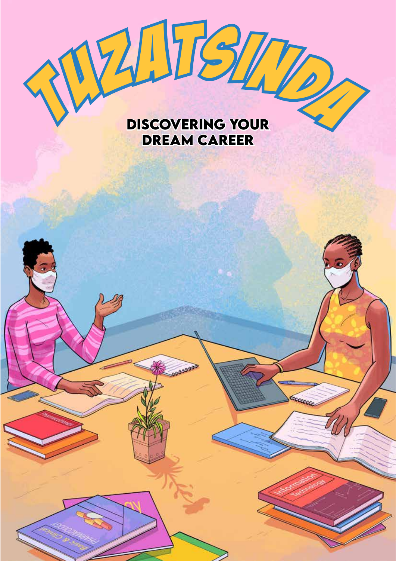## **WILEZI**

## **Discovering Your Dream career**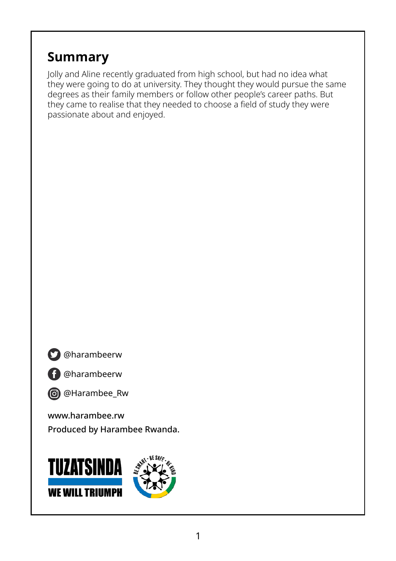## **Summary**

Jolly and Aline recently graduated from high school, but had no idea what they were going to do at university. They thought they would pursue the same degrees as their family members or follow other people's career paths. But they came to realise that they needed to choose a field of study they were passionate about and enjoyed.

@harambeerw

f

@harambeerw



www.harambee.rw Produced by Harambee Rwanda.

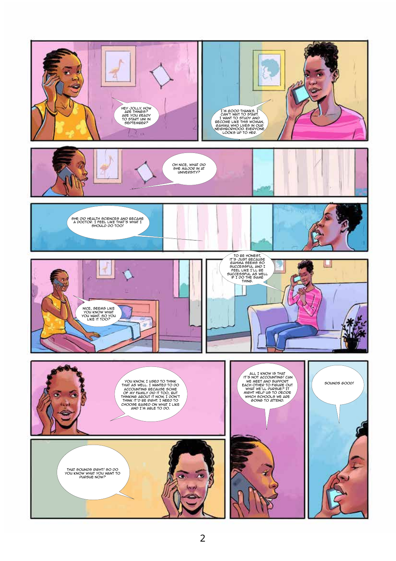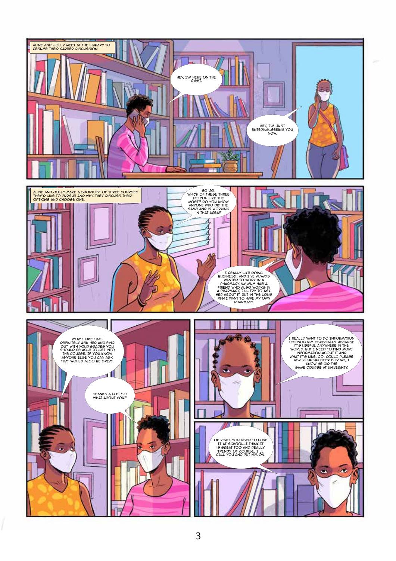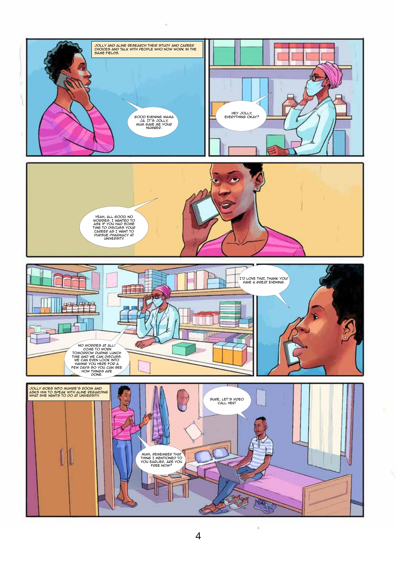